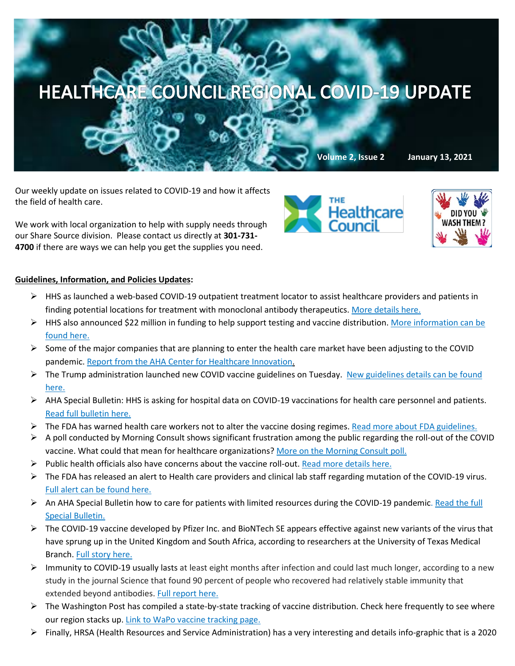

Our weekly update on issues related to COVID-19 and how it affects the field of health care.

We work with local organization to help with supply needs through our Share Source division. Please contact us directly at **301-731- 4700** if there are ways we can help you get the supplies you need.



Healthcare

## **Guidelines, Information, and Policies Updates:**

- $\triangleright$  HHS as launched a web-based COVID-19 outpatient treatment locator to assist healthcare providers and patients in finding potential locations for treatment with monoclonal antibody therapeutics. [More details here.](https://www.hpnonline.com/surgical-critical-care/article/21205516/hhs-launches-webbased-locator-for-covid19-treatment-sites-with-monoclonal-antibodies?utm_source=HPN+Daily+Newsletter&utm_medium=email&utm_campaign=CPS210112035&o_eid=8887J6354667A2S&rdx.ident=%5bobject+Object%5d&oly_enc_id=8887J6354667A2S)
- $\triangleright$  HHS also announced \$22 million in funding to help support testing and vaccine distribution. More information can be [found here.](https://www.hpnonline.com/infection-prevention/crisis-planning-outbreak-response/article/21205170/hhs-announces-22-billion-in-funding-to-support-expanded-testing-vaccination-distribution?utm_source=HPN+Daily+Newsletter&utm_medium=email&utm_campaign=CPS210108039&o_eid=8887J6354667A2S&rdx.ident=%5bobject+Object%5d&oly_enc_id=8887J6354667A2S)
- $\triangleright$  Some of the major companies that are planning to enter the health care market have been adjusting to the COVID pandemic. [Report from the AHA Center for Healthcare Innovation.](https://contentsharing.net/actions/email_web_version.cfm?ep=Bdhtp-zVuqFkgQiV6-lxty0f-nrLBJWzuTngPvD-5dXITe9ORYj9964c2qavti0E1VuNR2oCt92D3AJTAC5qW2-R-N9tYd9H31vP6gbgpO97a9GJUQvWtjuWbbvxVGMD)
- ▶ The Trump administration launched new COVID vaccine guidelines on Tuesday. New guidelines details can be found [here.](https://www.axios.com/trump-coronavirus-vaccines-seniors-doses-faster-ca22e892-71d4-4e04-9219-b41fec799524.html?mkt_tok=eyJpIjoiTkdZME9HVmxaR1JrTURnMyIsInQiOiJzakVvZktNcmtyRjBmQ3NobENvOXI3UnJUUUx5REFLQVM3cXNsaHNSczJZXC9MZlpvUWp1VXdTb1M2U0twbDZINGxIRTJiRUYzWHBUbnlYRXNjc3VSWjFQUFwvS2M5U2xCRWc5ZFdpWW5OSjlUclFQeXZ3TjM3TUJqQ2xtKzVrMFwvNCJ9)
- $\triangleright$  AHA Special Bulletin: HHS is asking for hospital data on COVID-19 vaccinations for health care personnel and patients. [Read full bulletin here.](https://contentsharing.net/actions/email_web_version.cfm?ep=Bdhtp-zVuqFkgQiV6-lxty0f-nrLBJWzuTngPvD-5dU5yv6Cm5wMy4vtjDtwI-ugbwD8Kzwn_qviKlA-Neiik2Y81DXXHTLJm0rYmJravog3-dZUC6-iFaPn4Vgil5sM)
- $\triangleright$  The FDA has warned health care workers not to alter the vaccine dosing regimes[. Read more about FDA guidelines.](https://www.npr.org/sections/coronavirus-live-updates/2021/01/04/953431400/fda-warns-health-officials-not-to-mess-with-covid-19-vaccine-doses-schedule?mkt_tok=eyJpIjoiTW1FNU0yUmtaV00wWmpNeSIsInQiOiJlWXFFYXpoSm1Jd2ZkNnp6d1FvcFNvQkFuWklubkNDQXNtRmZHckE1WVMrYVcrXC9uS2o1YlpNZXh2SFlcL1NaYUxDUlFQSjRxaVVvbVlHcFBVSlhrTDFTV1NFN3lGb0o5SXRNXC8rZGdsWnlXcXhReDRcLzh5V2xiQmhtUHg0cHlSQzMifQ==)
- $\triangleright$  A poll conducted by Morning Consult shows significant frustration among the public regarding the roll-out of the COVID vaccine. What could that mean for healthcare organizations[? More on the Morning Consult poll.](https://morningconsult.com/2021/01/11/coronavirus-vaccine-distribution-feelings-polling/?mkt_tok=eyJpIjoiTkRjNVlXWXlPV0UxWkdKbCIsInQiOiJGRnl6OStuNTVnK0tyOHVjdTZTaW1TQzUzajhpZkYrOHhtdnplWHpEZ2ZsdlFhWXBpczlXVDB6M0p2YVFLc0lcL2VndjNPNTVuQ2VBTFBpbTNIZ0N2d3lrZ1A5eU43bGpXSUhNMlZ1bE9UczIrWDJncGNCMHZ6WUdTdzlvZmFLckoifQ==)
- $\triangleright$  Public health officials also have concerns about the vaccine roll-out. [Read more details here.](https://www.modernhealthcare.com/patient-care/vaccine-rollout-confirms-public-health-officials-complaints?utm_source=modern-healthcare-covid-19-coverage&utm_medium=email&utm_campaign=20210110&utm_content=article1-readmore)
- $\triangleright$  The FDA has released an alert to Health care providers and clinical lab staff regarding mutation of the COVID-19 virus. [Full alert can be found here.](https://www.fda.gov/news-events/press-announcements/fda-issues-alert-regarding-sars-cov-2-viral-mutation-health-care-providers-and-clinical-laboratory)
- $\triangleright$  An AHA Special Bulletin how to care for patients with limited resources during the COVID-19 pandemic. Read the full [Special Bulletin.](https://contentsharing.net/actions/email_web_version.cfm?ep=Bdhtp-zVuqFkgQiV6-lxty0f-nrLBJWzuTngPvD-5dUbquDvivW1uTWO1LUZEfPqBPH44s1aL0jEBfSmWTKEJrpdkuHh39xken-ZyaL_5qIfOWdyr165rWE7donBji1c)
- $\triangleright$  The COVID-19 vaccine developed by Pfizer Inc. and BioNTech SE appears effective against new variants of the virus that have sprung up in the United Kingdom and South Africa, according to researchers at the University of Texas Medical Branch[. Full story here.](https://www.bloomberg.com/news/articles/2021-01-08/pfizer-shot-may-be-effective-against-key-mutation-study-shows?mkt_tok=eyJpIjoiWmprNE5UTXdObVJrWlRGbSIsInQiOiJcLzQrSldZenY1WXlTXC9SUGNGZEpxNGRPM0VpK3k2U0pCdWpRY1d5akJTR25XaEMwYWN2QnJkMXRMcHpUcHpoTUZqMEtYM0VHejVaYkZ4ZkpXanV2MDN1Y1UzMmFZYWJ2bmhwYklOSlB5cmxDWHRyN1hnTzRadGZyQk15OHNmbEtoIn0=)
- $\triangleright$  Immunity to COVID-19 usually lasts at least eight months after infection and could last much longer, according to a new study in the journal Science that found 90 percent of people who recovered had relatively stable immunity that extended beyond antibodies. [Full report here.](https://www.washingtonpost.com/health/post-infection-coronavirus-immunity-usually-robust-after-8-months-study-shows/2021/01/07/d7d369a6-511a-11eb-b96e-0e54447b23a1_story.html?mkt_tok=eyJpIjoiWmprNE5UTXdObVJrWlRGbSIsInQiOiJcLzQrSldZenY1WXlTXC9SUGNGZEpxNGRPM0VpK3k2U0pCdWpRY1d5akJTR25XaEMwYWN2QnJkMXRMcHpUcHpoTUZqMEtYM0VHejVaYkZ4ZkpXanV2MDN1Y1UzMmFZYWJ2bmhwYklOSlB5cmxDWHRyN1hnTzRadGZyQk15OHNmbEtoIn0=)
- $\triangleright$  The Washington Post has compiled a state-by-state tracking of vaccine distribution. Check here frequently to see where our region stacks up[. Link to WaPo vaccine tracking page.](https://www.washingtonpost.com/graphics/2020/health/covid-vaccine-states-distribution-doses/?itid=sf_coronavirus)
- $\triangleright$  Finally, HRSA (Health Resources and Service Administration) has a very interesting and details info-graphic that is a 2020